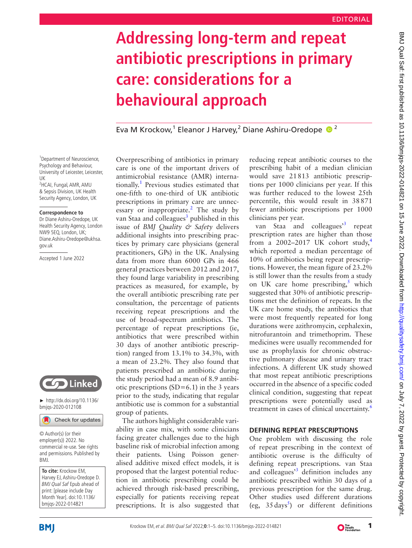# **Addressing long-term and repeat antibiotic prescriptions in primary care: considerations for a behavioural approach**

Eva M Krockow,<sup>1</sup> Eleanor J Harvey,<sup>2</sup> Diane Ashiru-Oredope <sup>1</sup>

1 Department of Neuroscience, Psychology and Behaviour, University of Leicester, Leicester, UK <sup>2</sup>HCAI, Fungal, AMR, AMU & Sepsis Division, UK Health Security Agency, London, UK

#### **Correspondence to**

Dr Diane Ashiru-Oredope, UK Health Security Agency, London NW9 5EQ, London, UK; Diane.Ashiru-Oredope@ukhsa. gov.uk

Accepted 1 June 2022



► [http://dx.doi.org/10.1136/](http://​dx.​doi.​org/​10.​1136/bmjqs-2020-012108) [bmjqs-2020-012108](http://​dx.​doi.​org/​10.​1136/bmjqs-2020-012108)

Check for updates

© Author(s) (or their employer(s)) 2022. No commercial re-use. See rights and permissions. Published by BMJ.

**To cite:** Krockow EM, Harvey EJ, Ashiru-Oredope D. BMJ Qual Saf Epub ahead of print: [please include Day Month Year]. doi:10.1136/ bmjqs-2022-014821

Overprescribing of antibiotics in primary care is one of the important drivers of antimicrobial resistance (AMR) interna-tionally.<sup>[1](#page-3-0)</sup> Previous studies estimated that one-fifth to one-third of UK antibiotic prescriptions in primary care are unnec-essary or inappropriate.<sup>[2](#page-3-1)</sup> The study by van Staa and colleagues<sup>3</sup> published in this issue of *BMJ Quality & Safety* delivers additional insights into prescribing practices by primary care physicians (general practitioners, GPs) in the UK. Analysing data from more than 6000 GPs in 466 general practices between 2012 and 2017, they found large variability in prescribing practices as measured, for example, by the overall antibiotic prescribing rate per consultation, the percentage of patients receiving repeat prescriptions and the use of broad-spectrum antibiotics. The percentage of repeat prescriptions (ie, antibiotics that were prescribed within 30 days of another antibiotic prescription) ranged from 13.1% to 34.3%, with a mean of 23.2%. They also found that patients prescribed an antibiotic during the study period had a mean of 8.9 antibiotic prescriptions  $(SD=6.1)$  in the 3 years prior to the study, indicating that regular antibiotic use is common for a substantial group of patients.

The authors highlight considerable variability in case mix, with some clinicians facing greater challenges due to the high baseline risk of microbial infection among their patients. Using Poisson generalised additive mixed effect models, it is proposed that the largest potential reduction in antibiotic prescribing could be achieved through risk-based prescribing, especially for patients receiving repeat prescriptions. It is also suggested that

reducing repeat antibiotic courses to the prescribing habit of a median clinician would save 21813 antibiotic prescriptions per 1000 clinicians per year. If this was further reduced to the lowest 25th percentile, this would result in 38871 fewer antibiotic prescriptions per 1000 clinicians per year.

van Staa and colleagues<sup>3</sup> repeat prescription rates are higher than those from a 2002–2017 UK cohort study,<sup>[4](#page-3-3)</sup> which reported a median percentage of 10% of antibiotics being repeat prescriptions. However, the mean figure of 23.2% is still lower than the results from a study on UK care home prescribing, $5$  which suggested that 30% of antibiotic prescriptions met the definition of repeats. In the UK care home study, the antibiotics that were most frequently repeated for long durations were azithromycin, cephalexin, nitrofurantoin and trimethoprim. These medicines were usually recommended for use as prophylaxis for chronic obstructive pulmonary disease and urinary tract infections. A different UK study showed that most repeat antibiotic prescriptions occurred in the absence of a specific coded clinical condition, suggesting that repeat prescriptions were potentially used as treatment in cases of clinical uncertainty.<sup>[6](#page-3-5)</sup>

## **DEFINING REPEAT PRESCRIPTIONS**

One problem with discussing the role of repeat prescribing in the context of antibiotic overuse is the difficulty of defining repeat prescriptions. van Staa and colleagues<sup>[3](#page-3-2)</sup> definition includes any antibiotic prescribed within 30 days of a previous prescription for the same drug. Other studies used different durations (eg,  $35 \text{ days}^5$  $35 \text{ days}^5$  $35 \text{ days}^5$ ) or different definitions

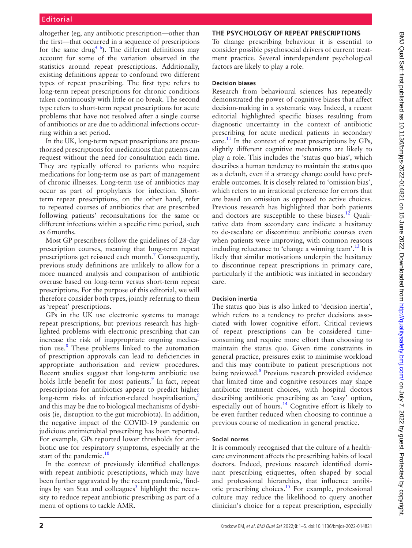altogether (eg, any antibiotic prescription—other than the first—that occurred in a sequence of prescriptions for the same drug<sup>4 6</sup>). The different definitions may account for some of the variation observed in the statistics around repeat prescriptions. Additionally, existing definitions appear to confound two different types of repeat prescribing. The first type refers to long-term repeat prescriptions for chronic conditions taken continuously with little or no break. The second type refers to short-term repeat prescriptions for acute problems that have not resolved after a single course of antibiotics or are due to additional infections occurring within a set period.

In the UK, long-term repeat prescriptions are preauthorised prescriptions for medications that patients can request without the need for consultation each time. They are typically offered to patients who require medications for long-term use as part of management of chronic illnesses. Long-term use of antibiotics may occur as part of prophylaxis for infection. Shortterm repeat prescriptions, on the other hand, refer to repeated courses of antibiotics that are prescribed following patients' reconsultations for the same or different infections within a specific time period, such as 6months.

Most GP prescribers follow the guidelines of 28-day prescription courses, meaning that long-term repeat prescriptions get reissued each month.<sup>[7](#page-3-6)</sup> Consequently, previous study definitions are unlikely to allow for a more nuanced analysis and comparison of antibiotic overuse based on long-term versus short-term repeat prescriptions. For the purpose of this editorial, we will therefore consider both types, jointly referring to them as 'repeat' prescriptions.

GPs in the UK use electronic systems to manage repeat prescriptions, but previous research has highlighted problems with electronic prescribing that can increase the risk of inappropriate ongoing medication use.[8](#page-4-0) These problems linked to the automation of prescription approvals can lead to deficiencies in appropriate authorisation and review procedures. Recent studies suggest that long-term antibiotic use holds little benefit for most patients.<sup>[9](#page-4-1)</sup> In fact, repeat prescriptions for antibiotics appear to predict higher long-term risks of infection-related hospitalisation, $\frac{9}{2}$  $\frac{9}{2}$  $\frac{9}{2}$ and this may be due to biological mechanisms of dysbiosis (ie, disruption to the gut microbiota). In addition, the negative impact of the COVID-19 pandemic on judicious antimicrobial prescribing has been reported. For example, GPs reported lower thresholds for antibiotic use for respiratory symptoms, especially at the start of the pandemic. $10$ 

In the context of previously identified challenges with repeat antibiotic prescriptions, which may have been further aggravated by the recent pandemic, 'find-ings by van Staa and colleagues<sup>[3](#page-3-2)</sup> highlight the necessity to reduce repeat antibiotic prescribing as part of a menu of options to tackle AMR.

## **THE PSYCHOLOGY OF REPEAT PRESCRIPTIONS**

To change prescribing behaviour it is essential to consider possible psychosocial drivers of current treatment practice. Several interdependent psychological factors are likely to play a role.

#### **Decision biases**

Research from behavioural sciences has repeatedly demonstrated the power of cognitive biases that affect decision-making in a systematic way. Indeed, a recent editorial highlighted specific biases resulting from diagnostic uncertainty in the context of antibiotic prescribing for acute medical patients in secondary care.<sup>11</sup> In the context of repeat prescriptions by GPs, slightly different cognitive mechanisms are likely to play a role. This includes the 'status quo bias', which describes a human tendency to maintain the status quo as a default, even if a strategy change could have preferable outcomes. It is closely related to 'omission bias', which refers to an irrational preference for errors that are based on omission as opposed to active choices. Previous research has highlighted that both patients and doctors are susceptible to these biases. $^{12}$  Qualitative data from secondary care indicate a hesitancy to de-escalate or discontinue antibiotic courses even when patients were improving, with common reasons including reluctance to 'change a winning team'.<sup>[13](#page-4-5)</sup> It is likely that similar motivations underpin the hesitancy to discontinue repeat prescriptions in primary care, particularly if the antibiotic was initiated in secondary care.

#### **Decision inertia**

The status quo bias is also linked to 'decision inertia', which refers to a tendency to prefer decisions associated with lower cognitive effort. Critical reviews of repeat prescriptions can be considered timeconsuming and require more effort than choosing to maintain the status quo. Given time constraints in general practice, pressures exist to minimise workload and this may contribute to patient prescriptions not being reviewed.<sup>8</sup> Previous research provided evidence that limited time and cognitive resources may shape antibiotic treatment choices, with hospital doctors describing antibiotic prescribing as an 'easy' option, especially out of hours.[14](#page-4-6) Cognitive effort is likely to be even further reduced when choosing to continue a previous course of medication in general practice.

#### **Social norms**

It is commonly recognised that the culture of a healthcare environment affects the prescribing habits of local doctors. Indeed, previous research identified dominant prescribing etiquettes, often shaped by social and professional hierarchies, that influence antibiotic prescribing choices.[15](#page-4-7) For example, professional culture may reduce the likelihood to query another clinician's choice for a repeat prescription, especially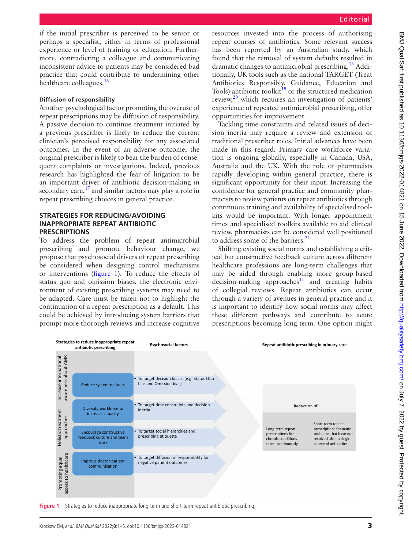if the initial prescriber is perceived to be senior or perhaps a specialist, either in terms of professional experience or level of training or education. Furthermore, contradicting a colleague and communicating inconsistent advice to patients may be considered bad practice that could contribute to undermining other healthcare colleagues.<sup>16</sup>

## **Diffusion of responsibility**

Another psychological factor promoting the overuse of repeat prescriptions may be diffusion of responsibility. A passive decision to continue treatment initiated by a previous prescriber is likely to reduce the current clinician's perceived responsibility for any associated outcomes. In the event of an adverse outcome, the original prescriber is likely to bear the burden of consequent complaints or investigations. Indeed, previous research has highlighted the fear of litigation to be an important driver of antibiotic decision-making in secondary care, $17$  and similar factors may play a role in repeat prescribing choices in general practice.

### **STRATEGIES FOR REDUCING/AVOIDING INAPPROPRIATE REPEAT ANTIBIOTIC PRESCRIPTIONS**

To address the problem of repeat antimicrobial prescribing and promote behaviour change, we propose that psychosocial drivers of repeat prescribing be considered when designing control mechanisms or interventions [\(figure](#page-2-0) 1). To reduce the effects of status quo and omission biases, the electronic environment of existing prescribing systems may need to be adapted. Care must be taken not to highlight the continuation of a repeat prescription as a default. This could be achieved by introducing system barriers that prompt more thorough reviews and increase cognitive

resources invested into the process of authorising repeat courses of antibiotics. Some relevant success has been reported by an Australian study, which found that the removal of system defaults resulted in dramatic changes to antimicrobial prescribing[.18](#page-4-10) Additionally, UK tools such as the national TARGET (Treat Antibiotics Responsibly, Guidance, Education and Tools) antibiotic toolkit<sup>[19](#page-4-11)</sup> or the structured medication review, $^{20}$  $^{20}$  $^{20}$  which requires an investigation of patients' experience of repeated antimicrobial prescribing, offer opportunities for improvement.

Tackling time constraints and related issues of decision inertia may require a review and extension of traditional prescriber roles. Initial advances have been made in this regard. Primary care workforce variation is ongoing globally, especially in Canada, USA, Australia and the UK. With the role of pharmacists rapidly developing within general practice, there is significant opportunity for their input. Increasing the confidence for general practice and community pharmacists to review patients on repeat antibiotics through continuous training and availability of specialised toolkits would be important. With longer appointment times and specialised toolkits available to aid clinical review, pharmacists can be considered well positioned to address some of the barriers.<sup>21</sup>

Shifting existing social norms and establishing a critical but constructive feedback culture across different healthcare professions are long-term challenges that may be aided through enabling more group-based  $decision-making$  approaches<sup>11</sup> and creating habits of collegial reviews. Repeat antibiotics can occur through a variety of avenues in general practice and it is important to identify how social norms may affect these different pathways and contribute to acute prescriptions becoming long term. One option might



<span id="page-2-0"></span>**Figure 1** Strategies to reduce inappropriate long-term and short-term repeat antibiotic prescribing.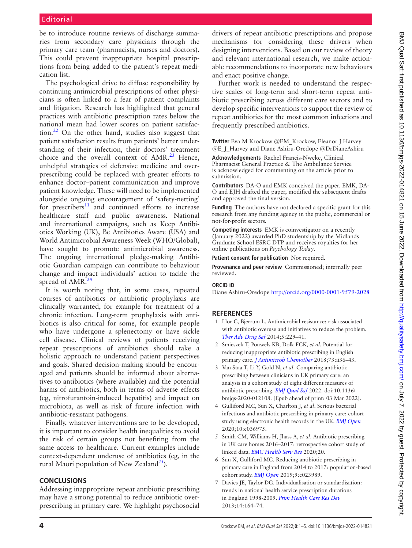be to introduce routine reviews of discharge summaries from secondary care physicians through the primary care team (pharmacists, nurses and doctors). This could prevent inappropriate hospital prescriptions from being added to the patient's repeat medication list.

The psychological drive to diffuse responsibility by continuing antimicrobial prescriptions of other physicians is often linked to a fear of patient complaints and litigation. Research has highlighted that general practices with antibiotic prescription rates below the national mean had lower scores on patient satisfac-tion.<sup>[22](#page-4-14)</sup> On the other hand, studies also suggest that patient satisfaction results from patients' better understanding of their infection, their doctors' treatment choice and the overall context of  $AMR<sup>23</sup>$  $AMR<sup>23</sup>$  $AMR<sup>23</sup>$  Hence, unhelpful strategies of defensive medicine and overprescribing could be replaced with greater efforts to enhance doctor–patient communication and improve patient knowledge. These will need to be implemented alongside ongoing encouragement of 'safety-netting' for prescribers<sup>[11](#page-4-3)</sup> and continued efforts to increase healthcare staff and public awareness. National and international campaigns, such as Keep Antibiotics Working (UK), Be Antibiotics Aware (USA) and World Antimicrobial Awareness Week (WHO/Global), have sought to promote antimicrobial awareness. The ongoing international pledge-making Antibiotic Guardian campaign can contribute to behaviour change and impact individuals' action to tackle the spread of AMR.<sup>[24](#page-4-16)</sup>

It is worth noting that, in some cases, repeated courses of antibiotics or antibiotic prophylaxis are clinically warranted, for example for treatment of a chronic infection. Long-term prophylaxis with antibiotics is also critical for some, for example people who have undergone a splenectomy or have sickle cell disease. Clinical reviews of patients receiving repeat prescriptions of antibiotics should take a holistic approach to understand patient perspectives and goals. Shared decision-making should be encouraged and patients should be informed about alternatives to antibiotics (where available) and the potential harms of antibiotics, both in terms of adverse effects (eg, nitrofurantoin-induced hepatitis) and impact on microbiota, as well as risk of future infection with antibiotic-resistant pathogens.

Finally, whatever interventions are to be developed, it is important to consider health inequalities to avoid the risk of certain groups not benefiting from the same access to healthcare. Current examples include context-dependent underuse of antibiotics (eg, in the rural Maori population of New Zealand<sup>25</sup>).

#### **CONCLUSIONS**

Addressing inappropriate repeat antibiotic prescribing may have a strong potential to reduce antibiotic overprescribing in primary care. We highlight psychosocial

drivers of repeat antibiotic prescriptions and propose mechanisms for considering these drivers when designing interventions. Based on our review of theory and relevant international research, we make actionable recommendations to incorporate new behaviours and enact positive change.

Further work is needed to understand the respective scales of long-term and short-term repeat antibiotic prescribing across different care sectors and to develop specific interventions to support the review of repeat antibiotics for the most common infections and frequently prescribed antibiotics.

**Twitter** Eva M Krockow [@EM\\_Krockow,](https://twitter.com/EM_Krockow) Eleanor J Harvey [@E\\_J\\_Harvey](https://twitter.com/E_J_Harvey) and Diane Ashiru-Oredope [@DrDianeAshiru](https://twitter.com/DrDianeAshiru)

**Acknowledgements** Rachel Francis-Nweke, Clinical Pharmacist General Practice & The Ambulance Service is acknowledged for commenting on the article prior to submission.

**Contributors** DA-O and EMK conceived the paper. EMK, DA-O and EJH drafted the paper, modified the subsequent drafts and approved the final version.

**Funding** The authors have not declared a specific grant for this research from any funding agency in the public, commercial or not-for-profit sectors.

**Competing interests** EMK is coinvestigator on a recently (January 2022) awarded PhD studentship by the Midlands Graduate School ESRC DTP and receives royalties for her online publications on *Psychology Today*.

**Patient consent for publication** Not required.

**Provenance and peer review** Commissioned; internally peer reviewed.

#### **ORCID iD**

Diane Ashiru-Oredope<http://orcid.org/0000-0001-9579-2028>

#### **REFERENCES**

- <span id="page-3-0"></span>1 Llor C, Bjerrum L. Antimicrobial resistance: risk associated with antibiotic overuse and initiatives to reduce the problem. *[Ther Adv Drug Saf](http://dx.doi.org/10.1177/2042098614554919)* 2014;5:229–41.
- <span id="page-3-1"></span>2 Smieszek T, Pouwels KB, Dolk FCK, *et al*. Potential for reducing inappropriate antibiotic prescribing in English primary care. *[J Antimicrob Chemother](http://dx.doi.org/10.1093/jac/dkx500)* 2018;73:ii36–43.
- <span id="page-3-2"></span>3 Van Staa T, Li Y, Gold N, *et al*. Comparing antibiotic prescribing between clinicians in UK primary care: an analysis in a cohort study of eight different measures of antibiotic prescribing. *[BMJ Qual Saf](http://dx.doi.org/10.1136/bmjqs-2020-012108)* 2022. doi:10.1136/ bmjqs-2020-012108. [Epub ahead of print: 03 Mar 2022].
- <span id="page-3-3"></span>4 Gulliford MC, Sun X, Charlton J, *et al*. Serious bacterial infections and antibiotic prescribing in primary care: cohort study using electronic health records in the UK. *[BMJ Open](http://dx.doi.org/10.1136/bmjopen-2020-036975)* 2020;10:e036975.
- <span id="page-3-4"></span>5 Smith CM, Williams H, Jhass A, *et al*. Antibiotic prescribing in UK care homes 2016–2017: retrospective cohort study of linked data. *[BMC Health Serv Res](http://dx.doi.org/10.1186/s12913-020-05422-z)* 2020;20.
- <span id="page-3-5"></span>6 Sun X, Gulliford MC. Reducing antibiotic prescribing in primary care in England from 2014 to 2017: population-based cohort study. *[BMJ Open](http://dx.doi.org/10.1136/bmjopen-2018-023989)* 2019;9:e023989.
- <span id="page-3-6"></span>7 Davies JE, Taylor DG. Individualisation or standardisation: trends in national health service prescription durations in England 1998-2009. *[Prim Health Care Res Dev](http://dx.doi.org/10.1017/S146342361200045X)* 2013;14:164–74.